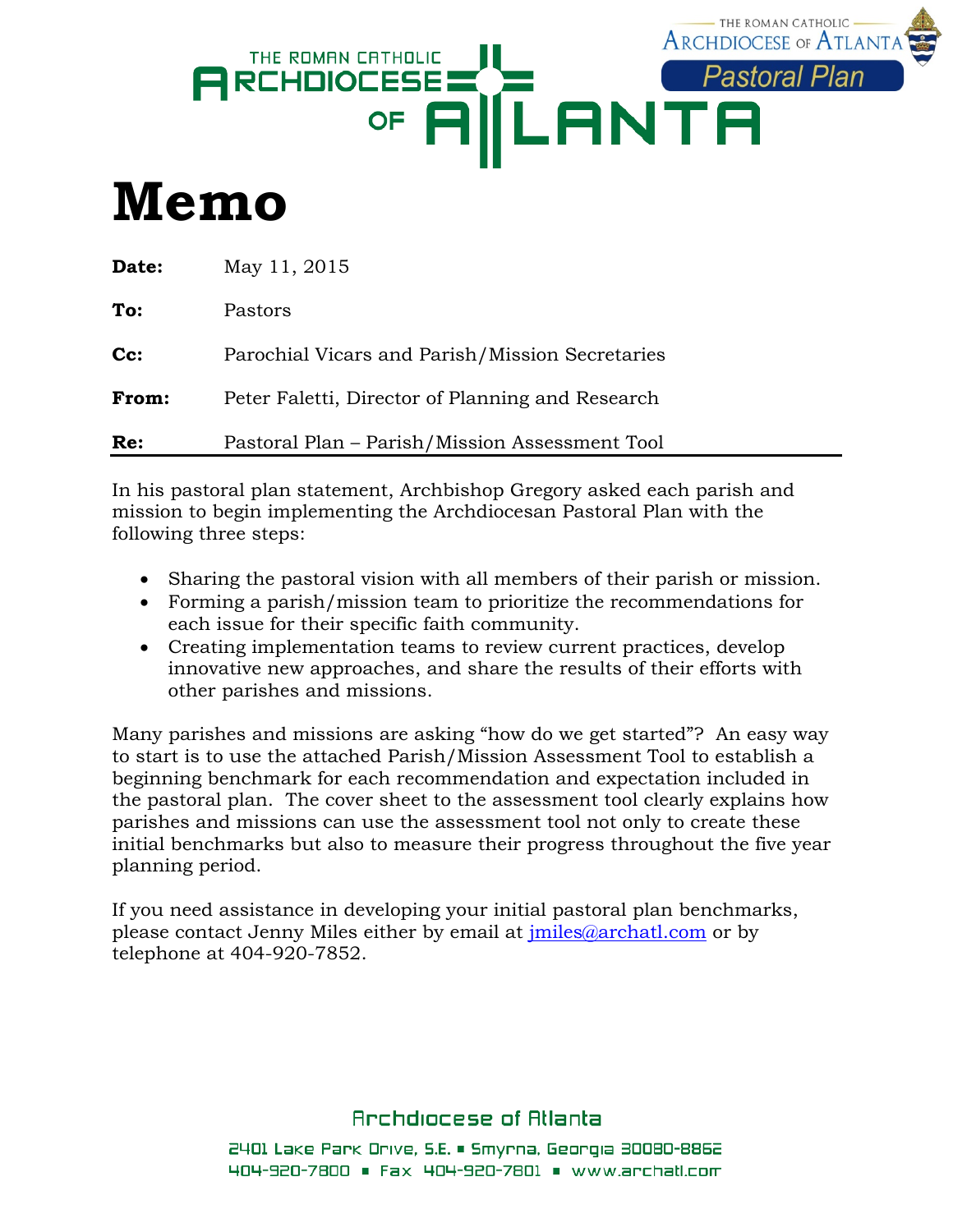

# **Memo**

| <b>Date:</b> | May 11, 2015                                     |
|--------------|--------------------------------------------------|
| To:          | Pastors                                          |
| Cc:          | Parochial Vicars and Parish/Mission Secretaries  |
| From:        | Peter Faletti, Director of Planning and Research |
| Re:          | Pastoral Plan - Parish/Mission Assessment Tool   |

In his pastoral plan statement, Archbishop Gregory asked each parish and mission to begin implementing the Archdiocesan Pastoral Plan with the following three steps:

- Sharing the pastoral vision with all members of their parish or mission.
- Forming a parish/mission team to prioritize the recommendations for each issue for their specific faith community.
- Creating implementation teams to review current practices, develop innovative new approaches, and share the results of their efforts with other parishes and missions.

Many parishes and missions are asking "how do we get started"? An easy way to start is to use the attached Parish/Mission Assessment Tool to establish a beginning benchmark for each recommendation and expectation included in the pastoral plan. The cover sheet to the assessment tool clearly explains how parishes and missions can use the assessment tool not only to create these initial benchmarks but also to measure their progress throughout the five year planning period.

If you need assistance in developing your initial pastoral plan benchmarks, please contact Jenny Miles either by email at [jmiles@archatl.com](mailto:jmiles@archatl.com) or by telephone at 404-920-7852.

## Archdiocese of Atlanta

2401 Lake Park Drive, S.E. • Smyrna, Georgia 30080-8862 404-920-7800 = Fax 404-920-7801 = www.archatl.com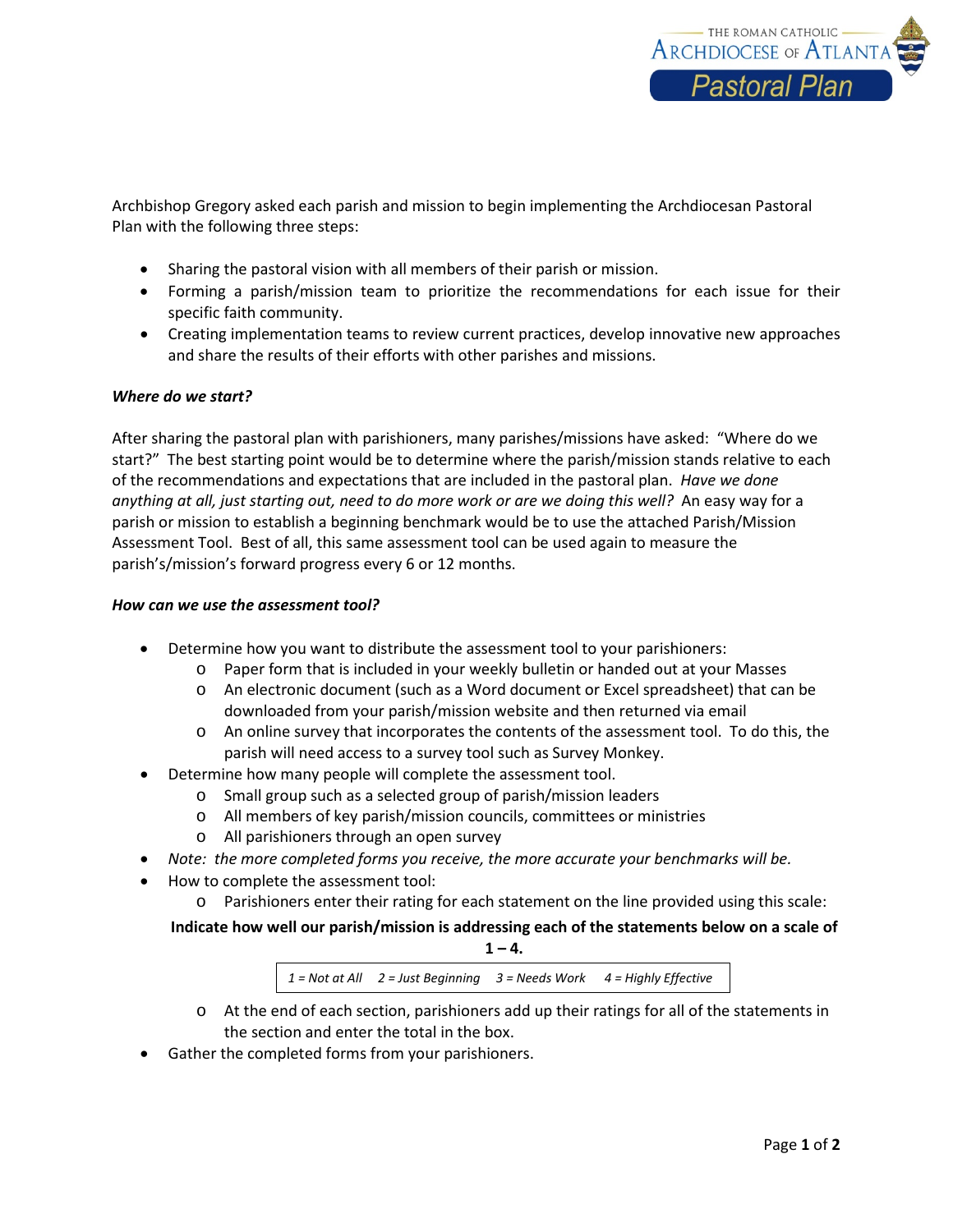

Archbishop Gregory asked each parish and mission to begin implementing the Archdiocesan Pastoral Plan with the following three steps:

- Sharing the pastoral vision with all members of their parish or mission.
- Forming a parish/mission team to prioritize the recommendations for each issue for their specific faith community.
- Creating implementation teams to review current practices, develop innovative new approaches and share the results of their efforts with other parishes and missions.

#### *Where do we start?*

After sharing the pastoral plan with parishioners, many parishes/missions have asked: "Where do we start?" The best starting point would be to determine where the parish/mission stands relative to each of the recommendations and expectations that are included in the pastoral plan. *Have we done anything at all, just starting out, need to do more work or are we doing this well?* An easy way for a parish or mission to establish a beginning benchmark would be to use the attached Parish/Mission Assessment Tool. Best of all, this same assessment tool can be used again to measure the parish's/mission's forward progress every 6 or 12 months.

#### *How can we use the assessment tool?*

- Determine how you want to distribute the assessment tool to your parishioners:
	- o Paper form that is included in your weekly bulletin or handed out at your Masses
	- o An electronic document (such as a Word document or Excel spreadsheet) that can be downloaded from your parish/mission website and then returned via email
	- o An online survey that incorporates the contents of the assessment tool. To do this, the parish will need access to a survey tool such as Survey Monkey.
- Determine how many people will complete the assessment tool.
	- o Small group such as a selected group of parish/mission leaders
	- o All members of key parish/mission councils, committees or ministries
	- o All parishioners through an open survey
- *Note: the more completed forms you receive, the more accurate your benchmarks will be.*
- How to complete the assessment tool:
	- o Parishioners enter their rating for each statement on the line provided using this scale:

**Indicate how well our parish/mission is addressing each of the statements below on a scale of**   $1 - 4.$ 

*1 = Not at All 2 = Just Beginning 3 = Needs Work 4 = Highly Effective*

- o At the end of each section, parishioners add up their ratings for all of the statements in the section and enter the total in the box.
- Gather the completed forms from your parishioners.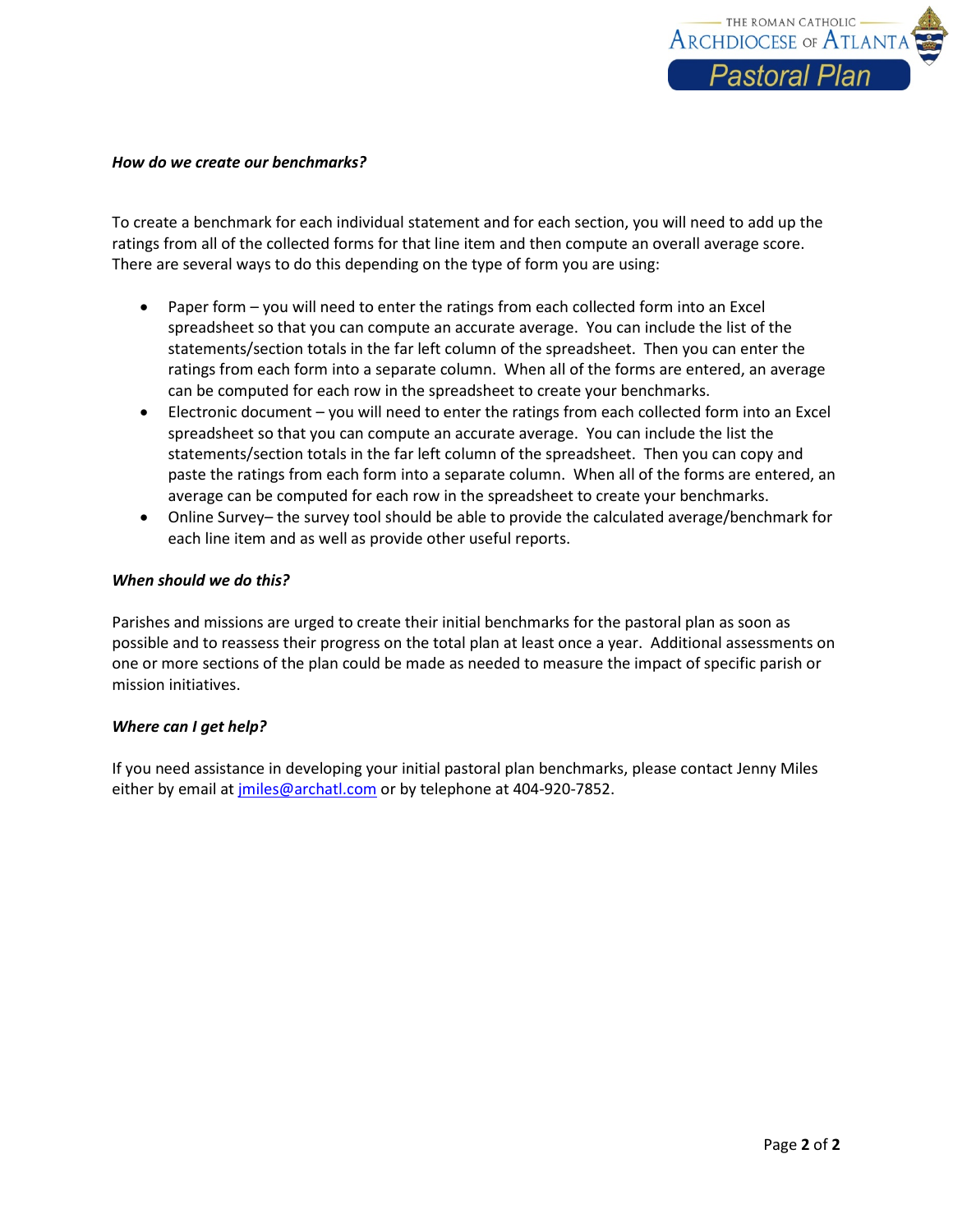

#### *How do we create our benchmarks?*

To create a benchmark for each individual statement and for each section, you will need to add up the ratings from all of the collected forms for that line item and then compute an overall average score. There are several ways to do this depending on the type of form you are using:

- Paper form you will need to enter the ratings from each collected form into an Excel spreadsheet so that you can compute an accurate average. You can include the list of the statements/section totals in the far left column of the spreadsheet. Then you can enter the ratings from each form into a separate column. When all of the forms are entered, an average can be computed for each row in the spreadsheet to create your benchmarks.
- Electronic document you will need to enter the ratings from each collected form into an Excel spreadsheet so that you can compute an accurate average. You can include the list the statements/section totals in the far left column of the spreadsheet. Then you can copy and paste the ratings from each form into a separate column. When all of the forms are entered, an average can be computed for each row in the spreadsheet to create your benchmarks.
- Online Survey– the survey tool should be able to provide the calculated average/benchmark for each line item and as well as provide other useful reports.

#### *When should we do this?*

Parishes and missions are urged to create their initial benchmarks for the pastoral plan as soon as possible and to reassess their progress on the total plan at least once a year. Additional assessments on one or more sections of the plan could be made as needed to measure the impact of specific parish or mission initiatives.

#### *Where can I get help?*

If you need assistance in developing your initial pastoral plan benchmarks, please contact Jenny Miles either by email at [jmiles@archatl.com](mailto:jmiles@archatl.com) or by telephone at 404-920-7852.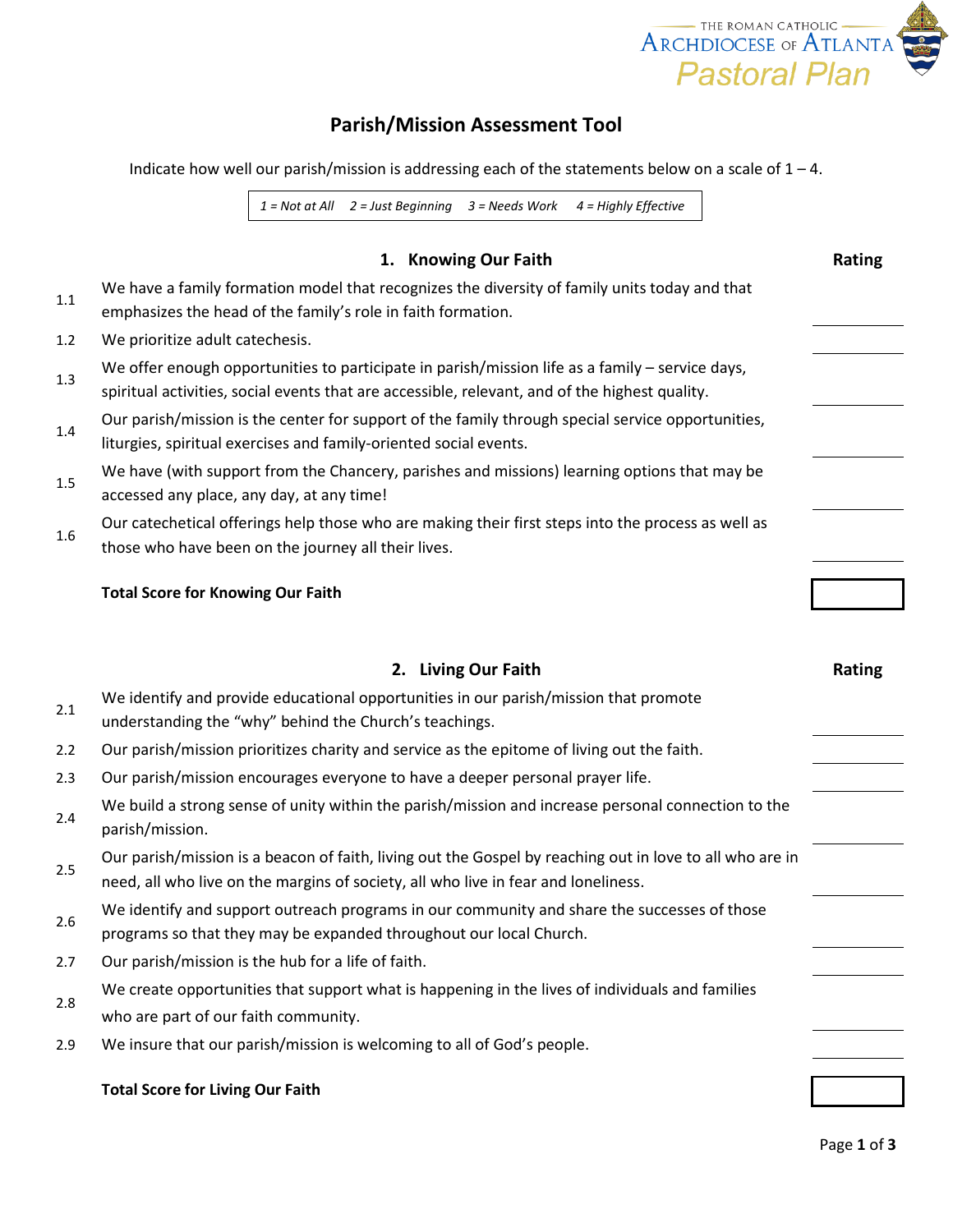

# **Parish/Mission Assessment Tool**

Indicate how well our parish/mission is addressing each of the statements below on a scale of  $1 - 4$ .

*1 = Not at All 2 = Just Beginning 3 = Needs Work 4 = Highly Effective*

## **1. Knowing Our Faith Rating Rating**

| 1.1 | We have a family formation model that recognizes the diversity of family units today and that<br>emphasizes the head of the family's role in faith formation.                                     |  |
|-----|---------------------------------------------------------------------------------------------------------------------------------------------------------------------------------------------------|--|
| 1.2 | We prioritize adult catechesis.                                                                                                                                                                   |  |
| 1.3 | We offer enough opportunities to participate in parish/mission life as a family - service days,<br>spiritual activities, social events that are accessible, relevant, and of the highest quality. |  |
| 1.4 | Our parish/mission is the center for support of the family through special service opportunities,<br>liturgies, spiritual exercises and family-oriented social events.                            |  |
| 1.5 | We have (with support from the Chancery, parishes and missions) learning options that may be<br>accessed any place, any day, at any time!                                                         |  |
| 1.6 | Our catechetical offerings help those who are making their first steps into the process as well as<br>those who have been on the journey all their lives.                                         |  |
|     |                                                                                                                                                                                                   |  |

### **Total Score for Knowing Our Faith**

|     | 2. Living Our Faith                                                                                                                                                                            | <b>Rating</b> |
|-----|------------------------------------------------------------------------------------------------------------------------------------------------------------------------------------------------|---------------|
| 2.1 | We identify and provide educational opportunities in our parish/mission that promote<br>understanding the "why" behind the Church's teachings.                                                 |               |
| 2.2 | Our parish/mission prioritizes charity and service as the epitome of living out the faith.                                                                                                     |               |
| 2.3 | Our parish/mission encourages everyone to have a deeper personal prayer life.                                                                                                                  |               |
| 2.4 | We build a strong sense of unity within the parish/mission and increase personal connection to the<br>parish/mission.                                                                          |               |
| 2.5 | Our parish/mission is a beacon of faith, living out the Gospel by reaching out in love to all who are in<br>need, all who live on the margins of society, all who live in fear and loneliness. |               |
| 2.6 | We identify and support outreach programs in our community and share the successes of those<br>programs so that they may be expanded throughout our local Church.                              |               |
| 2.7 | Our parish/mission is the hub for a life of faith.                                                                                                                                             |               |
| 2.8 | We create opportunities that support what is happening in the lives of individuals and families<br>who are part of our faith community.                                                        |               |
| 2.9 | We insure that our parish/mission is welcoming to all of God's people.                                                                                                                         |               |
|     | <b>Total Score for Living Our Faith</b>                                                                                                                                                        |               |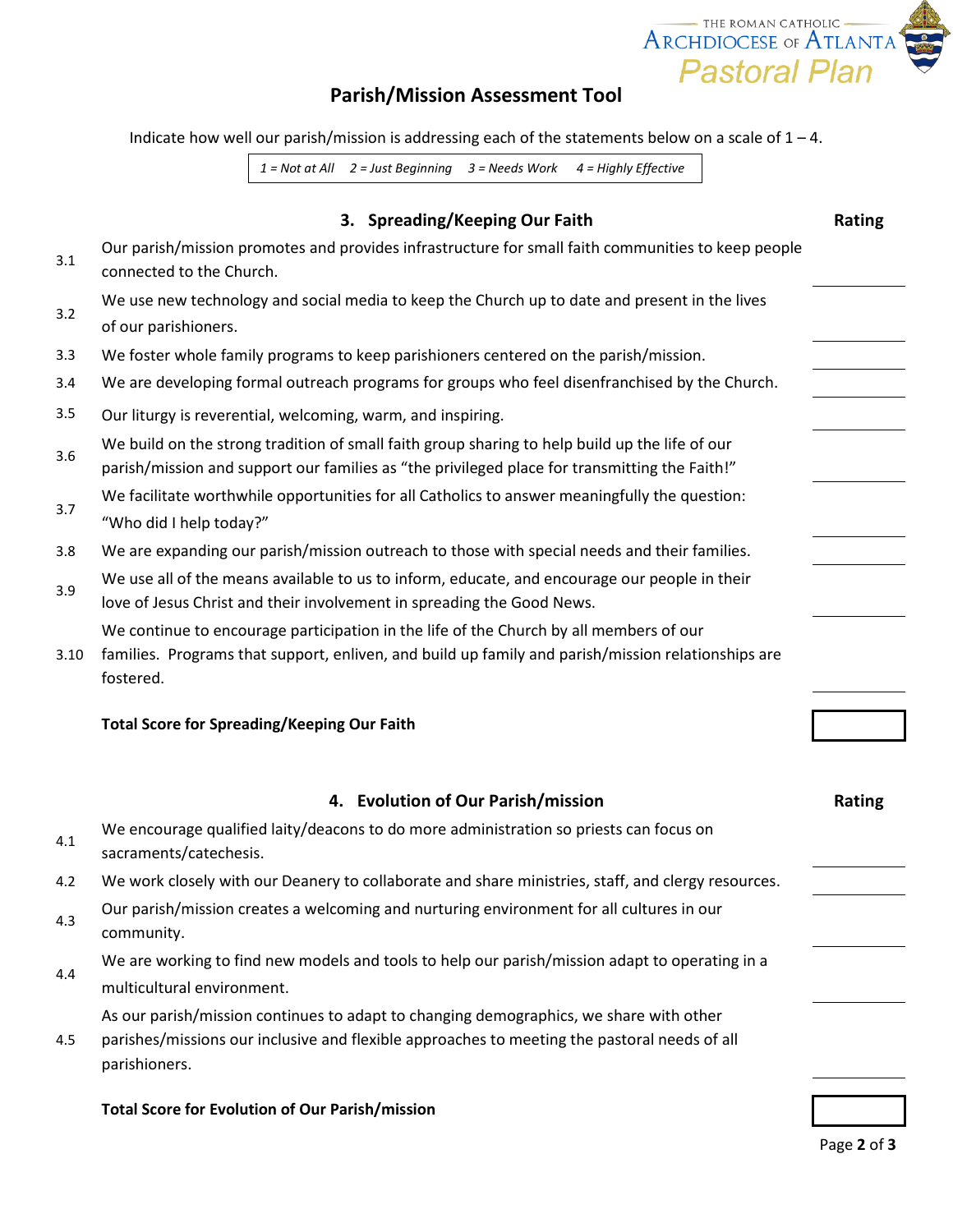

# **Parish/Mission Assessment Tool**

Indicate how well our parish/mission is addressing each of the statements below on a scale of  $1 - 4$ .

*1 = Not at All 2 = Just Beginning 3 = Needs Work 4 = Highly Effective*

|      | 3. Spreading/Keeping Our Faith                                                                                                                                                                            | Rating |  |
|------|-----------------------------------------------------------------------------------------------------------------------------------------------------------------------------------------------------------|--------|--|
| 3.1  | Our parish/mission promotes and provides infrastructure for small faith communities to keep people<br>connected to the Church.                                                                            |        |  |
| 3.2  | We use new technology and social media to keep the Church up to date and present in the lives<br>of our parishioners.                                                                                     |        |  |
| 3.3  | We foster whole family programs to keep parishioners centered on the parish/mission.                                                                                                                      |        |  |
| 3.4  | We are developing formal outreach programs for groups who feel disenfranchised by the Church.                                                                                                             |        |  |
| 3.5  | Our liturgy is reverential, welcoming, warm, and inspiring.                                                                                                                                               |        |  |
| 3.6  | We build on the strong tradition of small faith group sharing to help build up the life of our<br>parish/mission and support our families as "the privileged place for transmitting the Faith!"           |        |  |
| 3.7  | We facilitate worthwhile opportunities for all Catholics to answer meaningfully the question:<br>"Who did I help today?"                                                                                  |        |  |
| 3.8  | We are expanding our parish/mission outreach to those with special needs and their families.                                                                                                              |        |  |
| 3.9  | We use all of the means available to us to inform, educate, and encourage our people in their<br>love of Jesus Christ and their involvement in spreading the Good News.                                   |        |  |
| 3.10 | We continue to encourage participation in the life of the Church by all members of our<br>families. Programs that support, enliven, and build up family and parish/mission relationships are<br>fostered. |        |  |
|      | <b>Total Score for Spreading/Keeping Our Faith</b>                                                                                                                                                        |        |  |
|      | 4. Evolution of Our Parish/mission                                                                                                                                                                        | Rating |  |
| 4.1  | We encourage qualified laity/deacons to do more administration so priests can focus on<br>sacraments/catechesis.                                                                                          |        |  |
| 4.2  | We work closely with our Deanery to collaborate and share ministries, staff, and clergy resources.                                                                                                        |        |  |
| 4.3  | Our parish/mission creates a welcoming and nurturing environment for all cultures in our                                                                                                                  |        |  |

We are working to find new models and tools to help our parish/mission adapt to operating in a

As our parish/mission continues to adapt to changing demographics, we share with other parishes/missions our inclusive and flexible approaches to meeting the pastoral needs of all

**Total Score for Evolution of Our Parish/mission**

community.

parishioners.

multicultural environment.

4.4

4.5